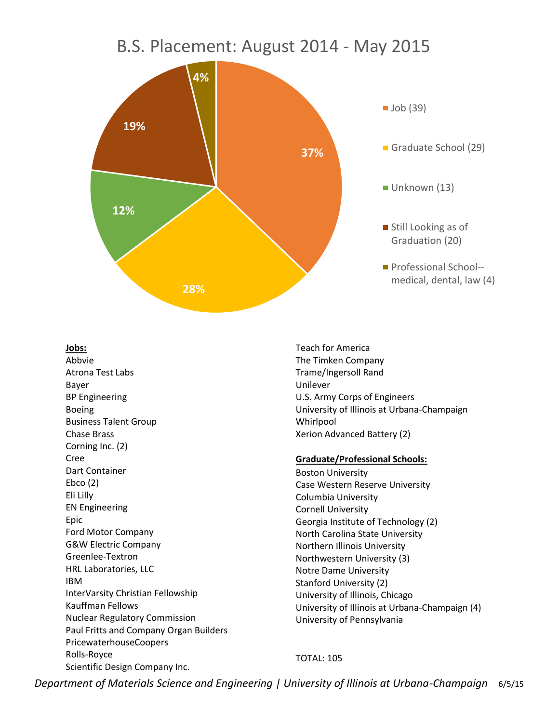# B.S. Placement: August 2014 - May 2015



#### **Jobs:**

Abbvie Atrona Test Labs Bayer BP Engineering Boeing Business Talent Group Chase Brass Corning Inc. (2) Cree Dart Container Ebco (2) Eli Lilly EN Engineering Epic Ford Motor Company G&W Electric Company Greenlee-Textron HRL Laboratories, LLC IBM InterVarsity Christian Fellowship Kauffman Fellows Nuclear Regulatory Commission Paul Fritts and Company Organ Builders PricewaterhouseCoopers Rolls-Royce Scientific Design Company Inc.

Teach for America The Timken Company Trame/Ingersoll Rand Unilever U.S. Army Corps of Engineers University of Illinois at Urbana-Champaign Whirlpool Xerion Advanced Battery (2)

#### **Graduate/Professional Schools:**

Boston University Case Western Reserve University Columbia University Cornell University Georgia Institute of Technology (2) North Carolina State University Northern Illinois University Northwestern University (3) Notre Dame University Stanford University (2) University of Illinois, Chicago University of Illinois at Urbana-Champaign (4) University of Pennsylvania

### TOTAL: 105

*Department of Materials Science and Engineering | University of Illinois at Urbana-Champaign* 6/5/15